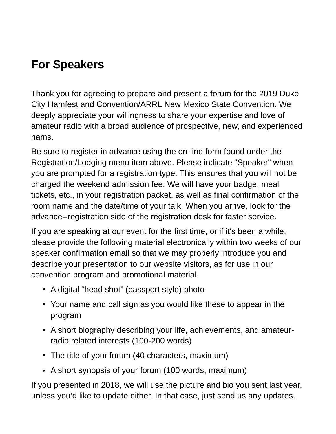## **For Speakers**

Thank you for agreeing to prepare and present a forum for the 2019 Duke City Hamfest and Convention/ARRL New Mexico State Convention. We deeply appreciate your willingness to share your expertise and love of amateur radio with a broad audience of prospective, new, and experienced hams.

Be sure to register in advance using the on-line form found under the Registration/Lodging menu item above. Please indicate "Speaker" when you are prompted for a registration type. This ensures that you will not be charged the weekend admission fee. We will have your badge, meal tickets, etc., in your registration packet, as well as final confirmation of the room name and the date/time of your talk. When you arrive, look for the advance--registration side of the registration desk for faster service.

If you are speaking at our event for the first time, or if it's been a while, please provide the following material electronically within two weeks of our speaker confirmation email so that we may properly introduce you and describe your presentation to our website visitors, as for use in our convention program and promotional material.

- A digital "head shot" (passport style) photo
- Your name and call sign as you would like these to appear in the program
- A short biography describing your life, achievements, and amateurradio related interests (100-200 words)
- The title of your forum (40 characters, maximum)
- A short synopsis of your forum (100 words, maximum)

If you presented in 2018, we will use the picture and bio you sent last year, unless you'd like to update either. In that case, just send us any updates.